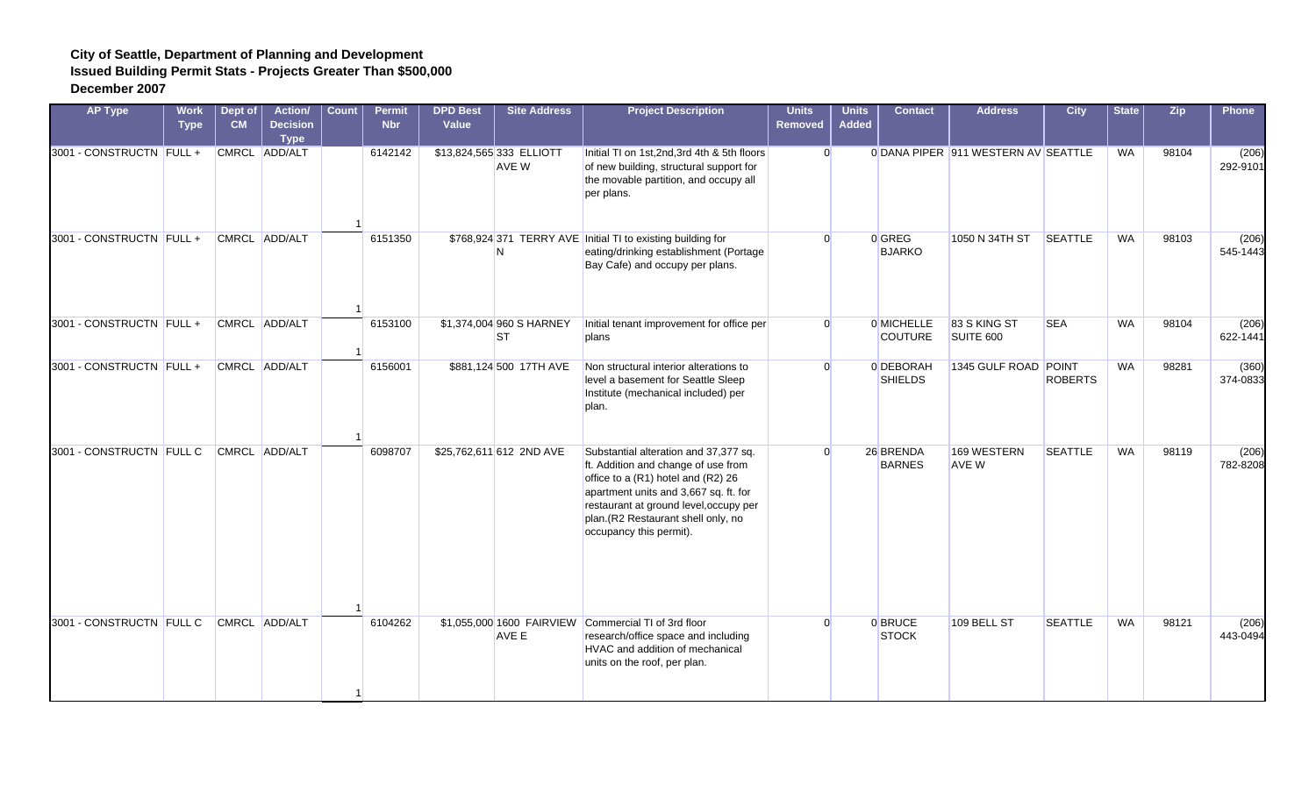| <b>AP Type</b>           | Work<br><b>Type</b> | Dept of<br>CM | <b>Action/</b><br><b>Decision</b><br><b>Type</b> | <b>Count</b> | <b>Permit</b><br><b>Nbr</b> | <b>DPD Best</b><br>Value | <b>Site Address</b>                   | <b>Project Description</b>                                                                                                                                                                                                                                              | <b>Units</b><br><b>Removed</b> | <b>Units</b><br><b>Added</b> | <b>Contact</b>               | <b>Address</b>                      | <b>City</b>    | <b>State</b> | <b>Zip</b> | <b>Phone</b>      |
|--------------------------|---------------------|---------------|--------------------------------------------------|--------------|-----------------------------|--------------------------|---------------------------------------|-------------------------------------------------------------------------------------------------------------------------------------------------------------------------------------------------------------------------------------------------------------------------|--------------------------------|------------------------------|------------------------------|-------------------------------------|----------------|--------------|------------|-------------------|
| 3001 - CONSTRUCTN FULL + |                     |               | CMRCL ADD/ALT                                    |              | 6142142                     |                          | \$13,824,565 333 ELLIOTT<br>AVE W     | Initial TI on 1st, 2nd, 3rd 4th & 5th floors<br>of new building, structural support for<br>the movable partition, and occupy all<br>per plans.                                                                                                                          | $\Omega$                       |                              |                              | 0 DANA PIPER 911 WESTERN AV SEATTLE |                | <b>WA</b>    | 98104      | (206)<br>292-9101 |
| 3001 - CONSTRUCTN FULL + |                     |               | CMRCL ADD/ALT                                    |              | 6151350                     |                          |                                       | \$768,924 371 TERRY AVE Initial TI to existing building for<br>eating/drinking establishment (Portage<br>Bay Cafe) and occupy per plans.                                                                                                                                | $\Omega$                       |                              | 0 GREG<br><b>BJARKO</b>      | 1050 N 34TH ST                      | <b>SEATTLE</b> | <b>WA</b>    | 98103      | (206)<br>545-1443 |
| 3001 - CONSTRUCTN FULL + |                     |               | CMRCL ADD/ALT                                    |              | 6153100                     |                          | \$1,374,004 960 S HARNEY<br><b>ST</b> | Initial tenant improvement for office per<br>plans                                                                                                                                                                                                                      | $\Omega$                       |                              | 0 MICHELLE<br><b>COUTURE</b> | 83 S KING ST<br>SUITE 600           | <b>SEA</b>     | <b>WA</b>    | 98104      | (206)<br>622-1441 |
| 3001 - CONSTRUCTN FULL + |                     |               | CMRCL ADD/ALT                                    |              | 6156001                     |                          | \$881,124 500 17TH AVE                | Non structural interior alterations to<br>level a basement for Seattle Sleep<br>Institute (mechanical included) per<br>plan.                                                                                                                                            | $\Omega$                       |                              | 0 DEBORAH<br><b>SHIELDS</b>  | 1345 GULF ROAD POINT                | <b>ROBERTS</b> | <b>WA</b>    | 98281      | (360)<br>374-0833 |
| 3001 - CONSTRUCTN FULL C |                     |               | CMRCL ADD/ALT                                    |              | 6098707                     |                          | \$25,762,611 612 2ND AVE              | Substantial alteration and 37,377 sq.<br>ft. Addition and change of use from<br>office to a (R1) hotel and (R2) 26<br>apartment units and 3,667 sq. ft. for<br>restaurant at ground level, occupy per<br>plan. (R2 Restaurant shell only, no<br>occupancy this permit). | $\Omega$                       |                              | 26 BRENDA<br><b>BARNES</b>   | 169 WESTERN<br>AVE W                | <b>SEATTLE</b> | <b>WA</b>    | 98119      | (206)<br>782-8208 |
| 3001 - CONSTRUCTN FULL C |                     |               | CMRCL ADD/ALT                                    |              | 6104262                     |                          | AVE E                                 | \$1,055,000 1600 FAIRVIEW Commercial TI of 3rd floor<br>research/office space and including<br>HVAC and addition of mechanical<br>units on the roof, per plan.                                                                                                          | $\Omega$                       |                              | 0 BRUCE<br><b>STOCK</b>      | 109 BELL ST                         | <b>SEATTLE</b> | <b>WA</b>    | 98121      | (206)<br>443-0494 |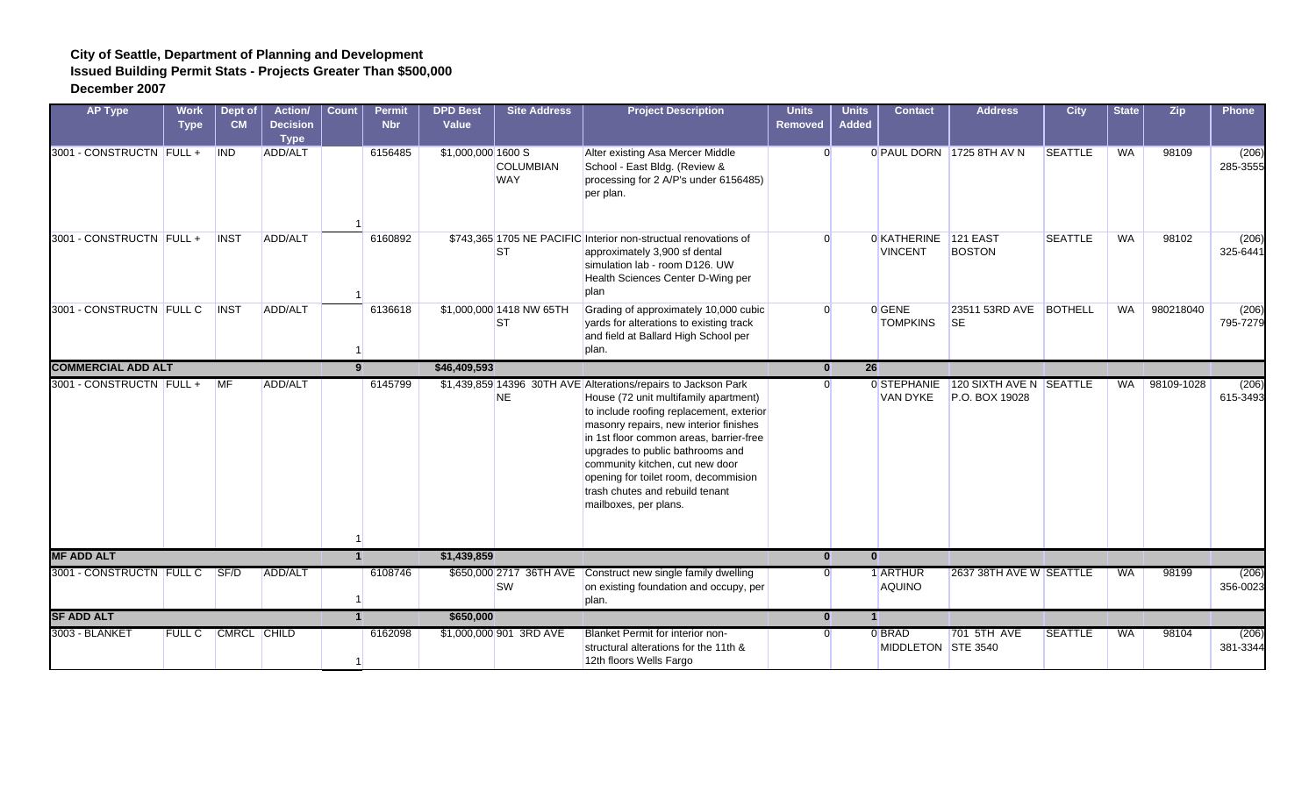| <b>AP Type</b>            | <b>Work</b><br><b>Type</b> | Dept of<br>CM | <b>Action/</b><br><b>Decision</b><br><b>Type</b> | <b>Count</b> | <b>Permit</b><br><b>Nbr</b> | <b>DPD Best</b><br>Value | <b>Site Address</b>                   | <b>Project Description</b>                                                                                                                                                                                                                                                                                                                                                                                          | <b>Units</b><br><b>Removed</b> | <b>Units</b><br><b>Added</b> | <b>Contact</b>                         | <b>Address</b>                            | <b>City</b>    | <b>State</b> | <b>Zip</b> | Phone             |
|---------------------------|----------------------------|---------------|--------------------------------------------------|--------------|-----------------------------|--------------------------|---------------------------------------|---------------------------------------------------------------------------------------------------------------------------------------------------------------------------------------------------------------------------------------------------------------------------------------------------------------------------------------------------------------------------------------------------------------------|--------------------------------|------------------------------|----------------------------------------|-------------------------------------------|----------------|--------------|------------|-------------------|
| 3001 - CONSTRUCTN FULL +  |                            | <b>IND</b>    | ADD/ALT                                          |              | 6156485                     | \$1,000,000 1600 S       | <b>COLUMBIAN</b><br><b>WAY</b>        | Alter existing Asa Mercer Middle<br>School - East Bldg. (Review &<br>processing for 2 A/P's under 6156485)<br>per plan.                                                                                                                                                                                                                                                                                             | $\Omega$                       |                              |                                        | 0 PAUL DORN 1725 8TH AV N                 | <b>SEATTLE</b> | WA           | 98109      | (206)<br>285-3555 |
| 3001 - CONSTRUCTN FULL +  |                            | <b>INST</b>   | ADD/ALT                                          |              | 6160892                     |                          | <b>ST</b>                             | \$743,365 1705 NE PACIFIC Interior non-structual renovations of<br>approximately 3,900 sf dental<br>simulation lab - room D126. UW<br>Health Sciences Center D-Wing per<br>plan                                                                                                                                                                                                                                     | $\Omega$                       |                              | 0 KATHERINE 121 EAST<br><b>VINCENT</b> | <b>BOSTON</b>                             | <b>SEATTLE</b> | <b>WA</b>    | 98102      | (206)<br>325-6441 |
| 3001 - CONSTRUCTN FULL C  |                            | <b>INST</b>   | ADD/ALT                                          |              | 6136618                     |                          | \$1,000,000 1418 NW 65TH<br><b>ST</b> | Grading of approximately 10,000 cubic<br>yards for alterations to existing track<br>and field at Ballard High School per<br>plan.                                                                                                                                                                                                                                                                                   | $\Omega$                       |                              | 0 GENE<br><b>TOMPKINS</b>              | 23511 53RD AVE BOTHELL<br><b>SE</b>       |                | <b>WA</b>    | 980218040  | (206)<br>795-7279 |
| <b>COMMERCIAL ADD ALT</b> |                            |               |                                                  | 9            |                             | \$46,409,593             |                                       |                                                                                                                                                                                                                                                                                                                                                                                                                     | $\mathbf{0}$                   | 26                           |                                        |                                           |                |              |            |                   |
| 3001 - CONSTRUCTN FULL +  |                            | <b>MF</b>     | <b>ADD/ALT</b>                                   |              | 6145799                     |                          | <b>NE</b>                             | \$1,439,859 14396 30TH AVE Alterations/repairs to Jackson Park<br>House (72 unit multifamily apartment)<br>to include roofing replacement, exterior<br>masonry repairs, new interior finishes<br>in 1st floor common areas, barrier-free<br>upgrades to public bathrooms and<br>community kitchen, cut new door<br>opening for toilet room, decommision<br>trash chutes and rebuild tenant<br>mailboxes, per plans. | $\Omega$                       |                              | 0 STEPHANIE<br>VAN DYKE                | 120 SIXTH AVE N SEATTLE<br>P.O. BOX 19028 |                | <b>WA</b>    | 98109-1028 | (206)<br>615-3493 |
| <b>MF ADD ALT</b>         |                            |               |                                                  |              |                             | \$1,439,859              |                                       |                                                                                                                                                                                                                                                                                                                                                                                                                     | $\mathbf{0}$                   | $\mathbf{0}$                 |                                        |                                           |                |              |            |                   |
| 3001 - CONSTRUCTN FULL C  |                            | <b>SF/D</b>   | ADD/ALT                                          |              | 6108746                     |                          | <b>SW</b>                             | \$650,000 2717 36TH AVE Construct new single family dwelling<br>on existing foundation and occupy, per<br>plan.                                                                                                                                                                                                                                                                                                     | $\Omega$                       |                              | 1 ARTHUR<br>AQUINO                     | 2637 38TH AVE W SEATTLE                   |                | <b>WA</b>    | 98199      | (206)<br>356-0023 |
| <b>SF ADD ALT</b>         |                            |               |                                                  |              |                             | \$650,000                |                                       |                                                                                                                                                                                                                                                                                                                                                                                                                     | $\mathbf{0}$                   | $\overline{1}$               |                                        |                                           |                |              |            |                   |
| 3003 - BLANKET            | <b>FULL C</b>              | CMRCL CHILD   |                                                  |              | 6162098                     |                          | \$1,000,000 901 3RD AVE               | <b>Blanket Permit for interior non-</b><br>structural alterations for the 11th &<br>12th floors Wells Fargo                                                                                                                                                                                                                                                                                                         | $\Omega$                       |                              | 0 BRAD<br>MIDDLETON STE 3540           | 701 5TH AVE                               | <b>SEATTLE</b> | <b>WA</b>    | 98104      | (206)<br>381-3344 |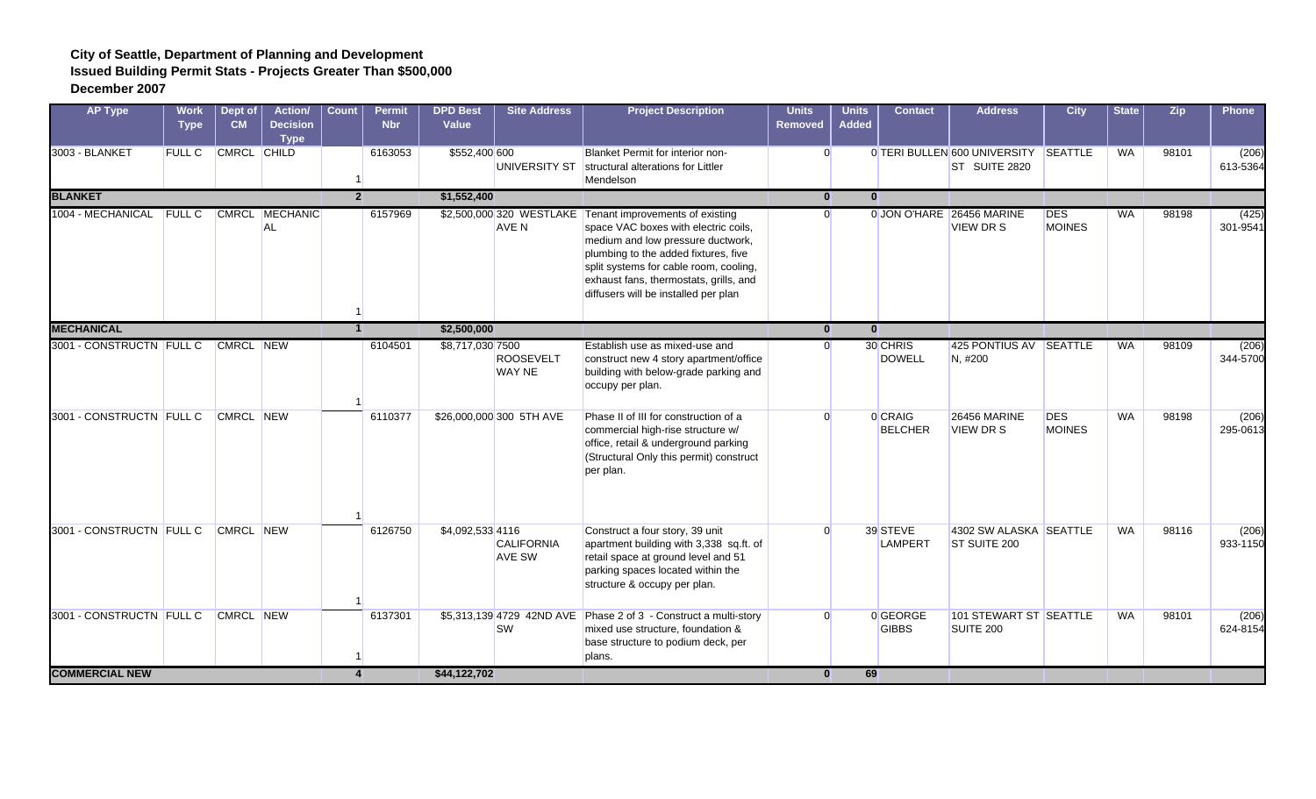| <b>AP Type</b>           | <b>Work</b><br><b>Type</b> | Dept of<br>CM    | Action/<br><b>Decision</b><br><b>Type</b> | Count          | <b>Permit</b><br><b>Nbr</b> | <b>DPD Best</b><br>Value | <b>Site Address</b>                | <b>Project Description</b>                                                                                                                                                                                                                                                       | <b>Units</b><br><b>Removed</b> | <b>Units</b><br><b>Added</b> | <b>Contact</b>            | <b>Address</b>                                        | <b>City</b>                 | <b>State</b> | <b>Zip</b> | Phone             |
|--------------------------|----------------------------|------------------|-------------------------------------------|----------------|-----------------------------|--------------------------|------------------------------------|----------------------------------------------------------------------------------------------------------------------------------------------------------------------------------------------------------------------------------------------------------------------------------|--------------------------------|------------------------------|---------------------------|-------------------------------------------------------|-----------------------------|--------------|------------|-------------------|
| 3003 - BLANKET           | <b>FULL C</b>              | CMRCL CHILD      |                                           |                | 6163053                     | \$552,400 600            |                                    | <b>Blanket Permit for interior non-</b><br>UNIVERSITY ST structural alterations for Littler<br>Mendelson                                                                                                                                                                         | $\Omega$                       |                              |                           | 0 TERI BULLEN 600 UNIVERSITY SEATTLE<br>ST SUITE 2820 |                             | <b>WA</b>    | 98101      | (206)<br>613-5364 |
| <b>BLANKET</b>           |                            |                  |                                           | $\overline{2}$ |                             | \$1,552,400              |                                    |                                                                                                                                                                                                                                                                                  | $\mathbf{0}$                   | $\mathbf{0}$                 |                           |                                                       |                             |              |            |                   |
| 1004 - MECHANICAL        | <b>FULL C</b>              |                  | <b>CMRCL MECHANIC</b><br><b>AL</b>        |                | 6157969                     |                          | \$2,500,000 320 WESTLAKE<br>AVE N  | Tenant improvements of existing<br>space VAC boxes with electric coils,<br>medium and low pressure ductwork,<br>plumbing to the added fixtures, five<br>split systems for cable room, cooling,<br>exhaust fans, thermostats, grills, and<br>diffusers will be installed per plan | $\Omega$                       |                              |                           | 0 JON O'HARE 26456 MARINE<br><b>VIEW DR S</b>         | <b>DES</b><br><b>MOINES</b> | <b>WA</b>    | 98198      | (425)<br>301-9541 |
| <b>MECHANICAL</b>        |                            |                  |                                           |                |                             | \$2,500,000              |                                    |                                                                                                                                                                                                                                                                                  | $\mathbf{0}$                   | $\mathbf{0}$                 |                           |                                                       |                             |              |            |                   |
| 3001 - CONSTRUCTN FULL C |                            | <b>CMRCL NEW</b> |                                           |                | 6104501                     | \$8,717,030 7500         | <b>ROOSEVELT</b><br><b>WAY NE</b>  | Establish use as mixed-use and<br>construct new 4 story apartment/office<br>building with below-grade parking and<br>occupy per plan.                                                                                                                                            | $\Omega$                       |                              | 30 CHRIS<br><b>DOWELL</b> | 425 PONTIUS AV SEATTLE<br>N, #200                     |                             | <b>WA</b>    | 98109      | (206)<br>344-5700 |
| 3001 - CONSTRUCTN FULL C |                            | CMRCL NEW        |                                           |                | 6110377                     |                          | \$26,000,000 300 5TH AVE           | Phase II of III for construction of a<br>commercial high-rise structure w/<br>office, retail & underground parking<br>(Structural Only this permit) construct<br>per plan.                                                                                                       | $\Omega$                       |                              | 0 CRAIG<br><b>BELCHER</b> | <b>26456 MARINE</b><br><b>VIEW DR S</b>               | <b>DES</b><br><b>MOINES</b> | <b>WA</b>    | 98198      | (206)<br>295-0613 |
| 3001 - CONSTRUCTN FULL C |                            | CMRCL NEW        |                                           |                | 6126750                     | \$4,092,533 4116         | <b>CALIFORNIA</b><br><b>AVE SW</b> | Construct a four story, 39 unit<br>apartment building with 3,338 sq.ft. of<br>retail space at ground level and 51<br>parking spaces located within the<br>structure & occupy per plan.                                                                                           | $\Omega$                       |                              | 39 STEVE<br>LAMPERT       | 4302 SW ALASKA SEATTLE<br>ST SUITE 200                |                             | <b>WA</b>    | 98116      | (206)<br>933-1150 |
| 3001 - CONSTRUCTN FULL C |                            | <b>CMRCL NEW</b> |                                           |                | 6137301                     |                          | <b>SW</b>                          | \$5,313,139 4729 42ND AVE Phase 2 of 3 - Construct a multi-story<br>mixed use structure, foundation &<br>base structure to podium deck, per<br>plans.                                                                                                                            | $\Omega$                       |                              | 0 GEORGE<br><b>GIBBS</b>  | 101 STEWART ST SEATTLE<br>SUITE 200                   |                             | <b>WA</b>    | 98101      | (206)<br>624-8154 |
| <b>COMMERCIAL NEW</b>    |                            |                  |                                           | 4              |                             | \$44,122,702             |                                    |                                                                                                                                                                                                                                                                                  | $\mathbf{0}$                   | 69                           |                           |                                                       |                             |              |            |                   |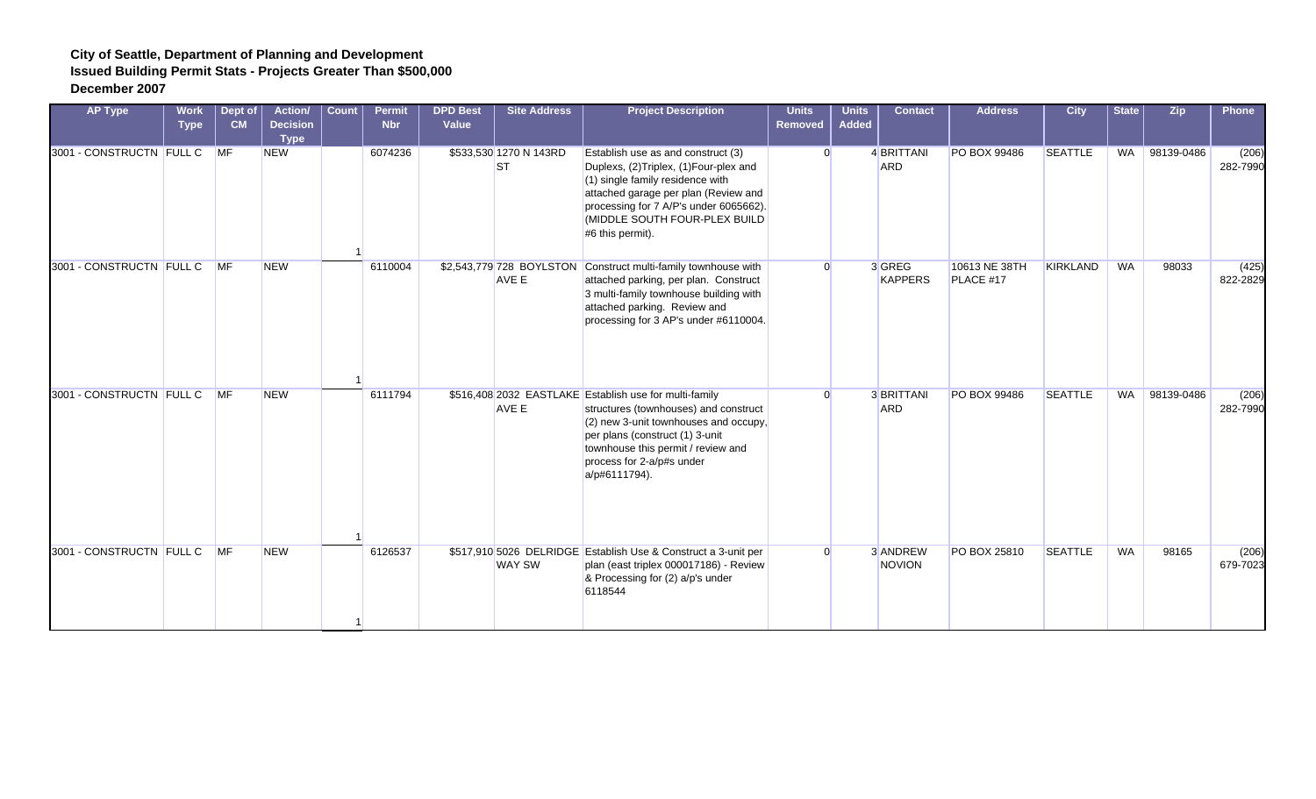| <b>AP Type</b>              | <b>Work</b><br><b>Type</b> | Dept of<br>CM  | <b>Action/</b><br><b>Decision</b><br><b>Type</b> | Count | <b>Permit</b><br><b>Nbr</b> | <b>DPD Best</b><br>Value | <b>Site Address</b>          | <b>Project Description</b>                                                                                                                                                                                                                                        | <b>Units</b><br>Removed | <b>Units</b><br><b>Added</b> | <b>Contact</b>           | <b>Address</b>             | <b>City</b>     | <b>State</b> | <b>Zip</b> | Phone             |
|-----------------------------|----------------------------|----------------|--------------------------------------------------|-------|-----------------------------|--------------------------|------------------------------|-------------------------------------------------------------------------------------------------------------------------------------------------------------------------------------------------------------------------------------------------------------------|-------------------------|------------------------------|--------------------------|----------------------------|-----------------|--------------|------------|-------------------|
| 3001 - CONSTRUCTN FULL C MF |                            |                | <b>NEW</b>                                       |       | 6074236                     |                          | \$533,530 1270 N 143RD<br>ST | Establish use as and construct (3)<br>Duplexs, (2)Triplex, (1)Four-plex and<br>$(1)$ single family residence with<br>attached garage per plan (Review and<br>processing for 7 A/P's under 6065662).<br>(MIDDLE SOUTH FOUR-PLEX BUILD<br>#6 this permit).          | $\Omega$                |                              | 4 BRITTANI<br><b>ARD</b> | <b>PO BOX 99486</b>        | SEATTLE         | WA           | 98139-0486 | (206)<br>282-7990 |
| 3001 - CONSTRUCTN FULL C    |                            | M <sub>F</sub> | <b>NEW</b>                                       |       | 6110004                     |                          | AVE E                        | \$2,543,779 728 BOYLSTON Construct multi-family townhouse with<br>attached parking, per plan. Construct<br>3 multi-family townhouse building with<br>attached parking. Review and<br>processing for 3 AP's under #6110004.                                        | $\Omega$                |                              | 3 GREG<br>KAPPERS        | 10613 NE 38TH<br>PLACE #17 | <b>KIRKLAND</b> | <b>WA</b>    | 98033      | (425)<br>822-2829 |
| 3001 - CONSTRUCTN FULL C    |                            | <b>MF</b>      | <b>NEW</b>                                       |       | 6111794                     |                          | AVE E                        | \$516,408 2032 EASTLAKE Establish use for multi-family<br>structures (townhouses) and construct<br>$(2)$ new 3-unit townhouses and occupy,<br>per plans (construct (1) 3-unit<br>townhouse this permit / review and<br>process for 2-a/p#s under<br>a/p#6111794). | $\Omega$                |                              | 3 BRITTANI<br><b>ARD</b> | PO BOX 99486               | <b>SEATTLE</b>  | WA           | 98139-0486 | (206)<br>282-7990 |
| 3001 - CONSTRUCTN FULL C    |                            | <b>MF</b>      | <b>NEW</b>                                       |       | 6126537                     |                          | <b>WAY SW</b>                | \$517,910 5026 DELRIDGE Establish Use & Construct a 3-unit per<br>plan (east triplex 000017186) - Review<br>& Processing for (2) a/p's under<br>6118544                                                                                                           | $\Omega$                |                              | 3 ANDREW<br>NOVION       | PO BOX 25810               | <b>SEATTLE</b>  | <b>WA</b>    | 98165      | (206)<br>679-7023 |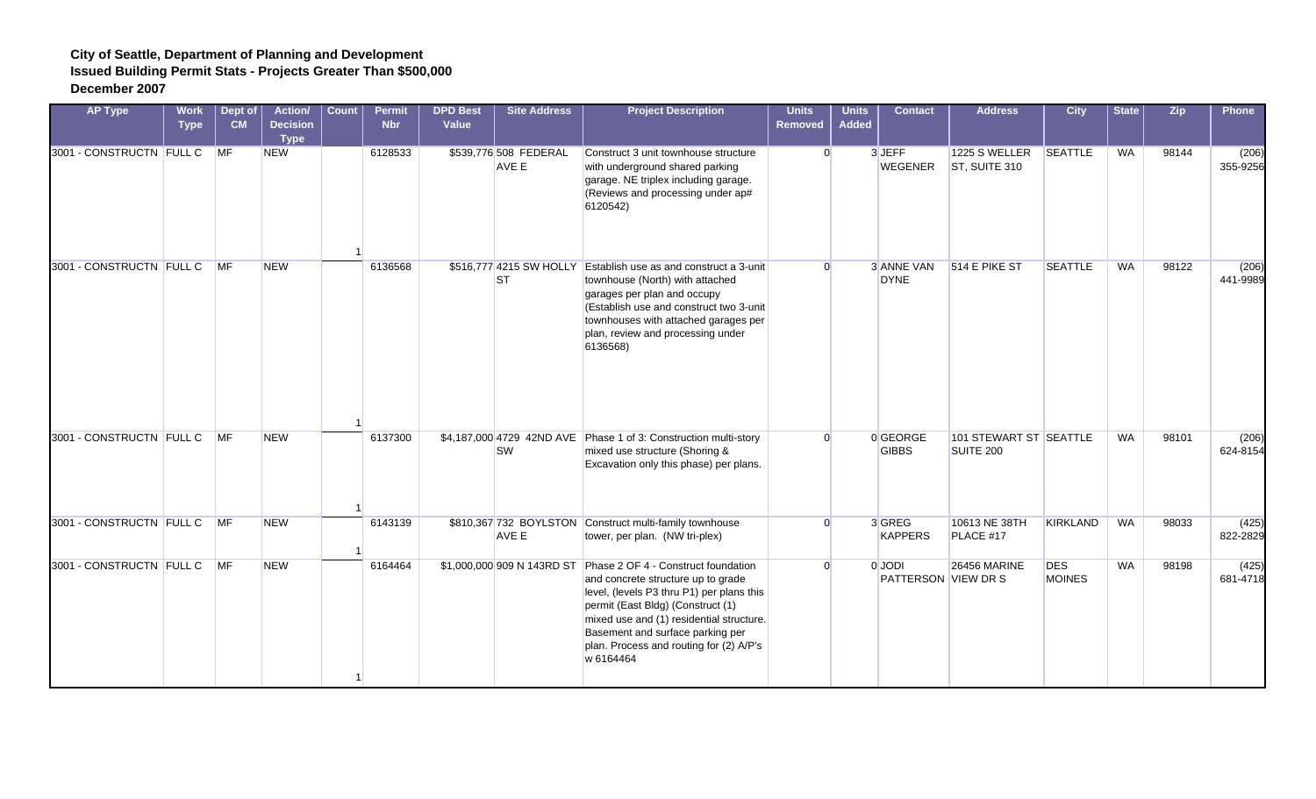| <b>AP Type</b>              | <b>Work</b><br><b>Type</b> | Dept of<br>CM  | Action/<br><b>Decision</b><br><b>Type</b> | Count | <b>Permit</b><br><b>Nbr</b> | <b>DPD Best</b><br>Value | <b>Site Address</b>            | <b>Project Description</b>                                                                                                                                                                                                                                                                                                     | <b>Units</b><br><b>Removed</b> | <b>Units</b><br><b>Added</b> | <b>Contact</b>                | <b>Address</b>                      | <b>City</b>                 | <b>State</b> | <b>Zip</b> | Phone             |
|-----------------------------|----------------------------|----------------|-------------------------------------------|-------|-----------------------------|--------------------------|--------------------------------|--------------------------------------------------------------------------------------------------------------------------------------------------------------------------------------------------------------------------------------------------------------------------------------------------------------------------------|--------------------------------|------------------------------|-------------------------------|-------------------------------------|-----------------------------|--------------|------------|-------------------|
| 3001 - CONSTRUCTN FULL C MF |                            |                | <b>NEW</b>                                |       | 6128533                     |                          | \$539,776 508 FEDERAL<br>AVE E | Construct 3 unit townhouse structure<br>with underground shared parking<br>garage. NE triplex including garage.<br>(Reviews and processing under ap#<br>6120542)                                                                                                                                                               | $\overline{0}$                 |                              | 3 JEFF<br>WEGENER             | 1225 S WELLER<br>ST, SUITE 310      | <b>SEATTLE</b>              | <b>WA</b>    | 98144      | (206)<br>355-9256 |
| 3001 - CONSTRUCTN FULL C    |                            | M <sub>F</sub> | <b>NEW</b>                                |       | 6136568                     |                          | ST                             | \$516,777 4215 SW HOLLY Establish use as and construct a 3-unit<br>townhouse (North) with attached<br>garages per plan and occupy<br>(Establish use and construct two 3-unit<br>townhouses with attached garages per<br>plan, review and processing under<br>6136568)                                                          | $\Omega$                       |                              | 3 ANNE VAN<br><b>DYNE</b>     | 514 E PIKE ST                       | <b>SEATTLE</b>              | <b>WA</b>    | 98122      | (206)<br>441-9989 |
| 3001 - CONSTRUCTN FULL C    |                            | <b>MF</b>      | <b>NEW</b>                                |       | 6137300                     |                          | <b>SW</b>                      | \$4,187,000 4729 42ND AVE Phase 1 of 3: Construction multi-story<br>mixed use structure (Shoring &<br>Excavation only this phase) per plans.                                                                                                                                                                                   | $\Omega$                       |                              | 0 GEORGE<br><b>GIBBS</b>      | 101 STEWART ST SEATTLE<br>SUITE 200 |                             | <b>WA</b>    | 98101      | (206)<br>624-8154 |
| 3001 - CONSTRUCTN FULL C MF |                            |                | <b>NEW</b>                                |       | 6143139                     |                          | AVE E                          | \$810,367 732 BOYLSTON Construct multi-family townhouse<br>tower, per plan. (NW tri-plex)                                                                                                                                                                                                                                      | $\Omega$                       |                              | 3 GREG<br>KAPPERS             | 10613 NE 38TH<br>PLACE #17          | KIRKLAND                    | <b>WA</b>    | 98033      | (425)<br>822-2829 |
| 3001 - CONSTRUCTN FULL C    |                            | <b>MF</b>      | <b>NEW</b>                                |       | 6164464                     |                          |                                | \$1,000,000 909 N 143RD ST Phase 2 OF 4 - Construct foundation<br>and concrete structure up to grade<br>level, (levels P3 thru P1) per plans this<br>permit (East Bldg) (Construct (1)<br>mixed use and (1) residential structure.<br>Basement and surface parking per<br>plan. Process and routing for (2) A/P's<br>w 6164464 | $\Omega$                       |                              | 0 JODI<br>PATTERSON VIEW DR S | <b>26456 MARINE</b>                 | <b>DES</b><br><b>MOINES</b> | <b>WA</b>    | 98198      | (425)<br>681-4718 |